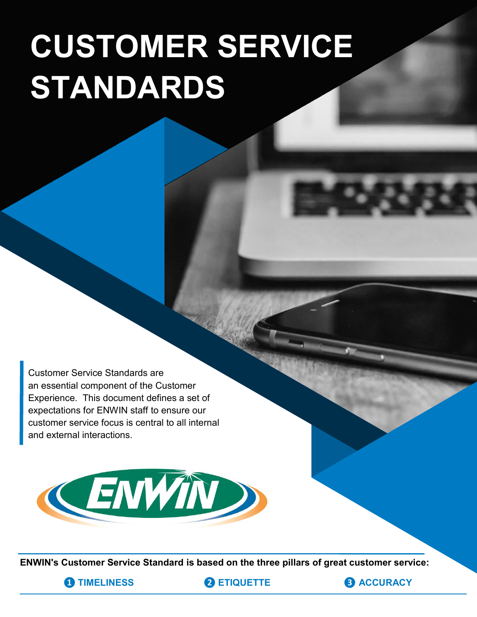# **CUSTOMER SERVICE STANDARDS**

Customer Service Standards are an essential component of the Customer Experience. This document defines a set of expectations for ENWIN staff to ensure our customer service focus is central to all internal and external interactions.



**ENWIN's Customer Service Standard is based on the three pillars of great customer service:**

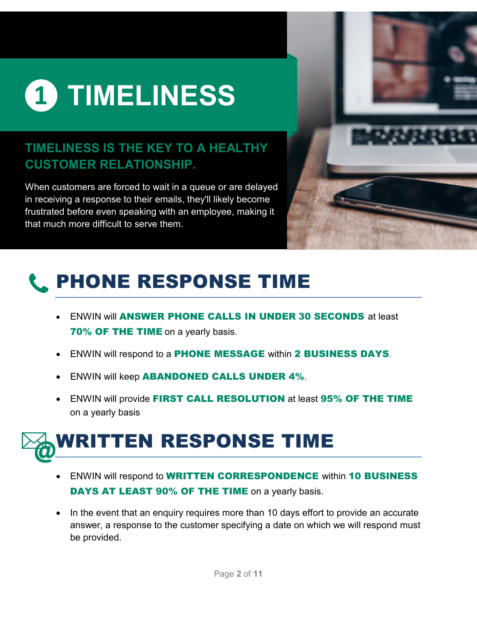

#### **TIMELINESS IS THE KEY TO A HEALTHY CUSTOMER RELATIONSHIP.**

When customers are forced to wait in a queue or are delayed in receiving a response to their emails, they'll likely become frustrated before even speaking with an employee, making it that much more difficult to serve them.



### PHONE RESPONSE TIME

- ENWIN will ANSWER PHONE CALLS IN UNDER 30 SECONDS at least **70% OF THE TIME** on a yearly basis.
- ENWIN will respond to a **PHONE MESSAGE** within 2 BUSINESS DAYS.
- ENWIN will keep **ABANDONED CALLS UNDER 4%**.
- ENWIN will provide FIRST CALL RESOLUTION at least 95% OF THE TIME on a yearly basis



- ENWIN will respond to **WRITTEN CORRESPONDENCE** within 10 BUSINESS DAYS AT LEAST 90% OF THE TIME on a yearly basis.
- In the event that an enquiry requires more than 10 days effort to provide an accurate answer, a response to the customer specifying a date on which we will respond must be provided.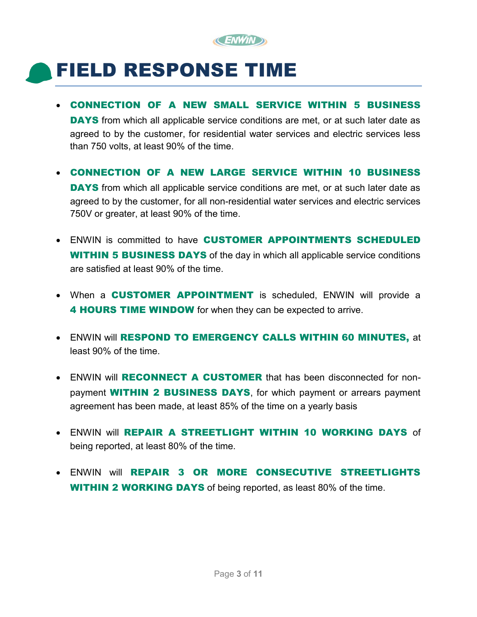

### FIELD RESPONSE TIME

CONNECTION OF A NEW SMALL SERVICE WITHIN 5 BUSINESS

DAYS from which all applicable service conditions are met, or at such later date as agreed to by the customer, for residential water services and electric services less than 750 volts, at least 90% of the time.

CONNECTION OF A NEW LARGE SERVICE WITHIN 10 BUSINESS

DAYS from which all applicable service conditions are met, or at such later date as agreed to by the customer, for all non-residential water services and electric services 750V or greater, at least 90% of the time.

- ENWIN is committed to have CUSTOMER APPOINTMENTS SCHEDULED **WITHIN 5 BUSINESS DAYS** of the day in which all applicable service conditions are satisfied at least 90% of the time.
- When a **CUSTOMER APPOINTMENT** is scheduled, ENWIN will provide a 4 **HOURS TIME WINDOW** for when they can be expected to arrive.
- ENWIN will RESPOND TO EMERGENCY CALLS WITHIN 60 MINUTES, at least 90% of the time.
- ENWIN will RECONNECT A CUSTOMER that has been disconnected for nonpayment **WITHIN 2 BUSINESS DAYS**, for which payment or arrears payment agreement has been made, at least 85% of the time on a yearly basis
- ENWIN will REPAIR A STREETLIGHT WITHIN 10 WORKING DAYS of being reported, at least 80% of the time.
- ENWIN will REPAIR 3 OR MORE CONSECUTIVE STREETLIGHTS **WITHIN 2 WORKING DAYS** of being reported, as least 80% of the time.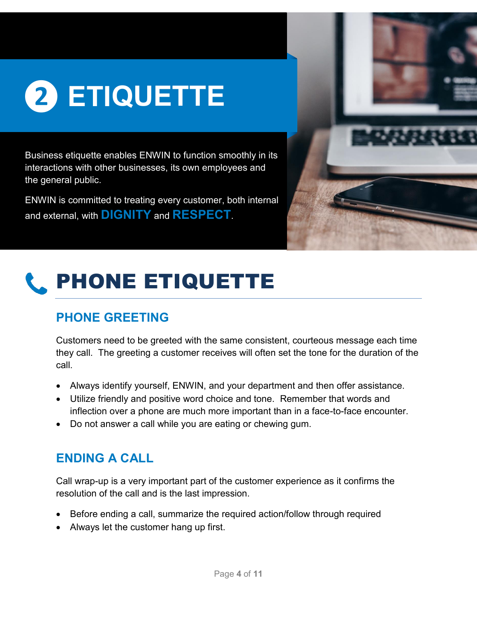

Business etiquette enables ENWIN to function smoothly in its interactions with other businesses, its own employees and the general public.

ENWIN is committed to treating every customer, both internal and external, with **DIGNITY** and **RESPECT**.





#### **PHONE GREETING**

Customers need to be greeted with the same consistent, courteous message each time they call. The greeting a customer receives will often set the tone for the duration of the call.

- Always identify yourself, ENWIN, and your department and then offer assistance.
- Utilize friendly and positive word choice and tone. Remember that words and inflection over a phone are much more important than in a face-to-face encounter.
- Do not answer a call while you are eating or chewing gum.

#### **ENDING A CALL**

Call wrap-up is a very important part of the customer experience as it confirms the resolution of the call and is the last impression.

- Before ending a call, summarize the required action/follow through required
- Always let the customer hang up first.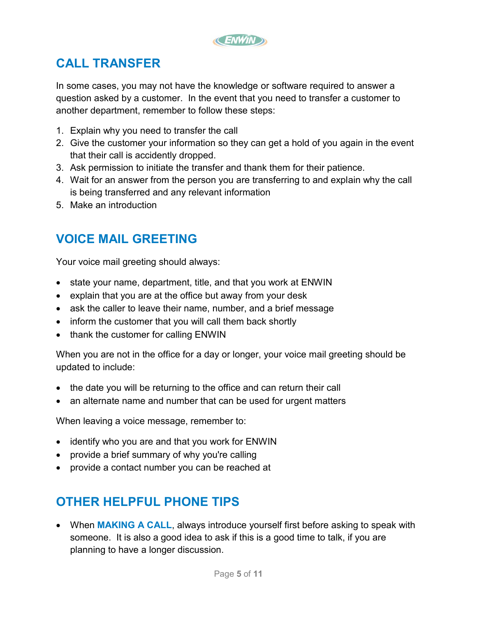

#### **CALL TRANSFER**

In some cases, you may not have the knowledge or software required to answer a question asked by a customer. In the event that you need to transfer a customer to another department, remember to follow these steps:

- 1. Explain why you need to transfer the call
- 2. Give the customer your information so they can get a hold of you again in the event that their call is accidently dropped.
- 3. Ask permission to initiate the transfer and thank them for their patience.
- 4. Wait for an answer from the person you are transferring to and explain why the call is being transferred and any relevant information
- 5. Make an introduction

#### **VOICE MAIL GREETING**

Your voice mail greeting should always:

- state your name, department, title, and that you work at ENWIN
- explain that you are at the office but away from your desk
- ask the caller to leave their name, number, and a brief message
- inform the customer that you will call them back shortly
- thank the customer for calling ENWIN

When you are not in the office for a day or longer, your voice mail greeting should be updated to include:

- the date you will be returning to the office and can return their call
- an alternate name and number that can be used for urgent matters

When leaving a voice message, remember to:

- identify who you are and that you work for ENWIN
- provide a brief summary of why you're calling
- provide a contact number you can be reached at

#### **OTHER HELPFUL PHONE TIPS**

 When **MAKING A CALL**, always introduce yourself first before asking to speak with someone. It is also a good idea to ask if this is a good time to talk, if you are planning to have a longer discussion.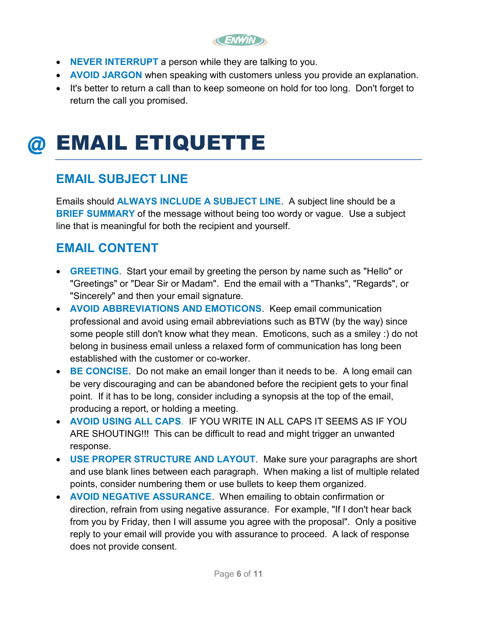**CENWIND** 

- **NEVER INTERRUPT** a person while they are talking to you.
- **AVOID JARGON** when speaking with customers unless you provide an explanation.
- It's better to return a call than to keep someone on hold for too long. Don't forget to return the call you promised.

### @ EMAIL ETIQUETTE

#### **EMAIL SUBJECT LINE**

Emails should **ALWAYS INCLUDE A SUBJECT LINE**. A subject line should be a **BRIEF SUMMARY** of the message without being too wordy or vague. Use a subject line that is meaningful for both the recipient and yourself.

#### **EMAIL CONTENT**

- **GREETING**. Start your email by greeting the person by name such as "Hello" or "Greetings" or "Dear Sir or Madam". End the email with a "Thanks", "Regards", or "Sincerely" and then your email signature.
- **AVOID ABBREVIATIONS AND EMOTICONS**. Keep email communication professional and avoid using email abbreviations such as BTW (by the way) since some people still don't know what they mean. Emoticons, such as a smiley :) do not belong in business email unless a relaxed form of communication has long been established with the customer or co-worker.
- **BE CONCISE.** Do not make an email longer than it needs to be. A long email can be very discouraging and can be abandoned before the recipient gets to your final point. If it has to be long, consider including a synopsis at the top of the email, producing a report, or holding a meeting.
- **AVOID USING ALL CAPS**. IF YOU WRITE IN ALL CAPS IT SEEMS AS IF YOU ARE SHOUTING!!! This can be difficult to read and might trigger an unwanted response.
- **USE PROPER STRUCTURE AND LAYOUT**. Make sure your paragraphs are short and use blank lines between each paragraph. When making a list of multiple related points, consider numbering them or use bullets to keep them organized.
- **AVOID NEGATIVE ASSURANCE**. When emailing to obtain confirmation or direction, refrain from using negative assurance. For example, "If I don't hear back from you by Friday, then I will assume you agree with the proposal". Only a positive reply to your email will provide you with assurance to proceed. A lack of response does not provide consent.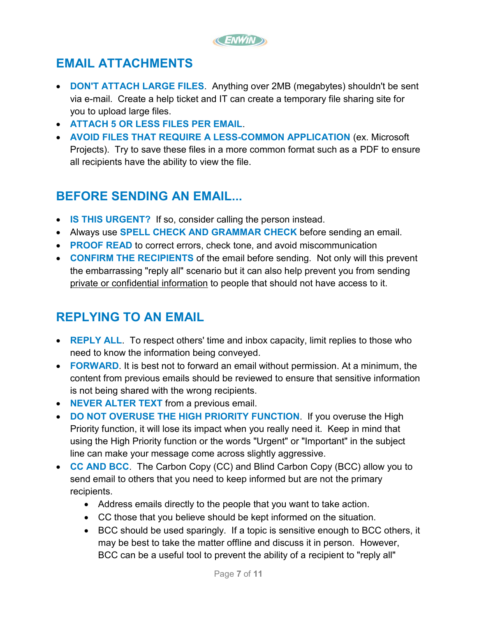

#### **EMAIL ATTACHMENTS**

- **DON'T ATTACH LARGE FILES**. Anything over 2MB (megabytes) shouldn't be sent via e-mail. Create a help ticket and IT can create a temporary file sharing site for you to upload large files.
- **ATTACH 5 OR LESS FILES PER EMAIL**.
- **AVOID FILES THAT REQUIRE A LESS-COMMON APPLICATION** (ex. Microsoft Projects). Try to save these files in a more common format such as a PDF to ensure all recipients have the ability to view the file.

#### **BEFORE SENDING AN EMAIL...**

- **IS THIS URGENT?** If so, consider calling the person instead.
- Always use **SPELL CHECK AND GRAMMAR CHECK** before sending an email.
- **PROOF READ** to correct errors, check tone, and avoid miscommunication
- **CONFIRM THE RECIPIENTS** of the email before sending. Not only will this prevent the embarrassing "reply all" scenario but it can also help prevent you from sending private or confidential information to people that should not have access to it.

#### **REPLYING TO AN EMAIL**

- **REPLY ALL.** To respect others' time and inbox capacity, limit replies to those who need to know the information being conveyed.
- **FORWARD**. It is best not to forward an email without permission. At a minimum, the content from previous emails should be reviewed to ensure that sensitive information is not being shared with the wrong recipients.
- **NEVER ALTER TEXT** from a previous email.
- **DO NOT OVERUSE THE HIGH PRIORITY FUNCTION**.If you overuse the High Priority function, it will lose its impact when you really need it. Keep in mind that using the High Priority function or the words "Urgent" or "Important" in the subject line can make your message come across slightly aggressive.
- **CC AND BCC**. The Carbon Copy (CC) and Blind Carbon Copy (BCC) allow you to send email to others that you need to keep informed but are not the primary recipients.
	- Address emails directly to the people that you want to take action.
	- CC those that you believe should be kept informed on the situation.
	- BCC should be used sparingly. If a topic is sensitive enough to BCC others, it may be best to take the matter offline and discuss it in person. However, BCC can be a useful tool to prevent the ability of a recipient to "reply all"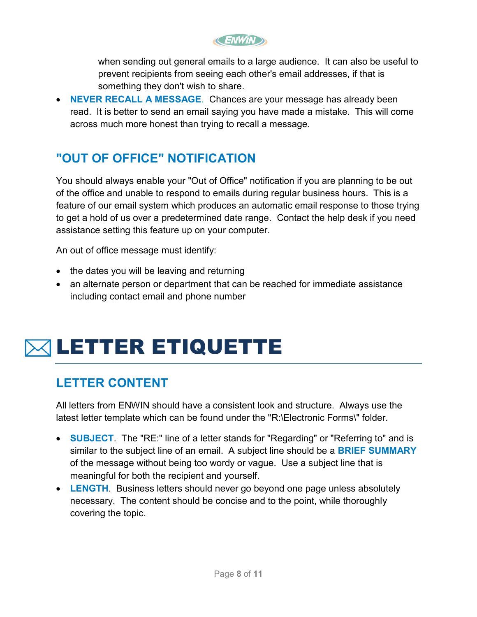**CENWIND** 

when sending out general emails to a large audience. It can also be useful to prevent recipients from seeing each other's email addresses, if that is something they don't wish to share.

 **NEVER RECALL A MESSAGE**. Chances are your message has already been read. It is better to send an email saying you have made a mistake. This will come across much more honest than trying to recall a message.

#### **"OUT OF OFFICE" NOTIFICATION**

You should always enable your "Out of Office" notification if you are planning to be out of the office and unable to respond to emails during regular business hours. This is a feature of our email system which produces an automatic email response to those trying to get a hold of us over a predetermined date range. Contact the help desk if you need assistance setting this feature up on your computer.

An out of office message must identify:

- $\bullet$  the dates you will be leaving and returning
- an alternate person or department that can be reached for immediate assistance including contact email and phone number

### LETTER ETIQUETTE

#### **LETTER CONTENT**

All letters from ENWIN should have a consistent look and structure. Always use the latest letter template which can be found under the "R:\Electronic Forms\" folder.

- **SUBJECT**. The "RE:" line of a letter stands for "Regarding" or "Referring to" and is similar to the subject line of an email. A subject line should be a **BRIEF SUMMARY** of the message without being too wordy or vague. Use a subject line that is meaningful for both the recipient and yourself.
- **LENGTH**. Business letters should never go beyond one page unless absolutely necessary. The content should be concise and to the point, while thoroughly covering the topic.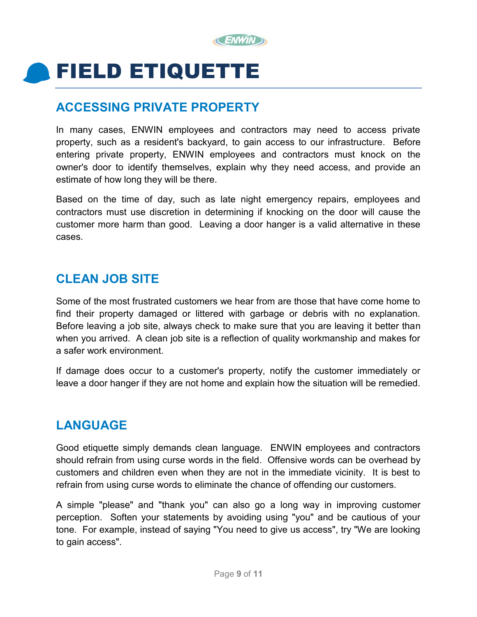

### FIELD ETIQUETTE

#### **ACCESSING PRIVATE PROPERTY**

In many cases, ENWIN employees and contractors may need to access private property, such as a resident's backyard, to gain access to our infrastructure. Before entering private property, ENWIN employees and contractors must knock on the owner's door to identify themselves, explain why they need access, and provide an estimate of how long they will be there.

Based on the time of day, such as late night emergency repairs, employees and contractors must use discretion in determining if knocking on the door will cause the customer more harm than good. Leaving a door hanger is a valid alternative in these cases.

#### **CLEAN JOB SITE**

Some of the most frustrated customers we hear from are those that have come home to find their property damaged or littered with garbage or debris with no explanation. Before leaving a job site, always check to make sure that you are leaving it better than when you arrived. A clean job site is a reflection of quality workmanship and makes for a safer work environment.

If damage does occur to a customer's property, notify the customer immediately or leave a door hanger if they are not home and explain how the situation will be remedied.

#### **LANGUAGE**

Good etiquette simply demands clean language. ENWIN employees and contractors should refrain from using curse words in the field. Offensive words can be overhead by customers and children even when they are not in the immediate vicinity. It is best to refrain from using curse words to eliminate the chance of offending our customers.

A simple "please" and "thank you" can also go a long way in improving customer perception. Soften your statements by avoiding using "you" and be cautious of your tone. For example, instead of saying "You need to give us access", try "We are looking to gain access".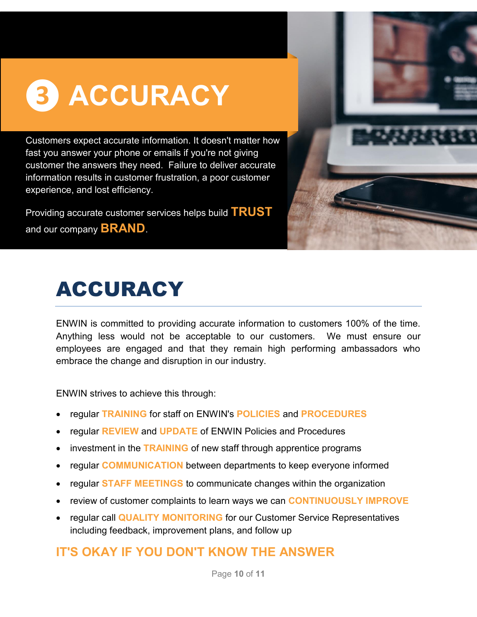## **❸ ACCURACY**

Customers expect accurate information. It doesn't matter how fast you answer your phone or emails if you're not giving customer the answers they need. Failure to deliver accurate information results in customer frustration, a poor customer experience, and lost efficiency.

Providing accurate customer services helps build **TRUST** and our company **BRAND**.



### ACCURACY

ENWIN is committed to providing accurate information to customers 100% of the time. Anything less would not be acceptable to our customers. We must ensure our employees are engaged and that they remain high performing ambassadors who embrace the change and disruption in our industry.

ENWIN strives to achieve this through:

- regular **TRAINING** for staff on ENWIN's **POLICIES** and **PROCEDURES**
- regular **REVIEW** and **UPDATE** of ENWIN Policies and Procedures
- investment in the **TRAINING** of new staff through apprentice programs
- regular **COMMUNICATION** between departments to keep everyone informed
- regular **STAFF MEETINGS** to communicate changes within the organization
- review of customer complaints to learn ways we can **CONTINUOUSLY IMPROVE**
- regular call **QUALITY MONITORING** for our Customer Service Representatives including feedback, improvement plans, and follow up

#### **IT'S OKAY IF YOU DON'T KNOW THE ANSWER**